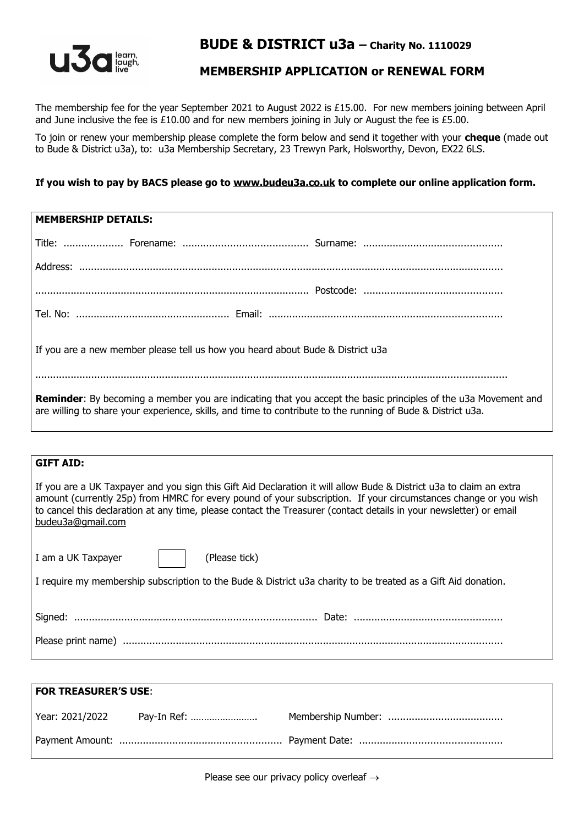

# **BUDE & DISTRICT u3a – Charity No. 1110029**

## **MEMBERSHIP APPLICATION or RENEWAL FORM**

The membership fee for the year September 2021 to August 2022 is £15.00. For new members joining between April and June inclusive the fee is £10.00 and for new members joining in July or August the fee is £5.00.

To join or renew your membership please complete the form below and send it together with your **cheque** (made out to Bude & District u3a), to: u3a Membership Secretary, 23 Trewyn Park, Holsworthy, Devon, EX22 6LS.

### **If you wish to pay by BACS please go to [www.budeu3a.co.uk](http://www.budeu3a.co.uk/) to complete our online application form.**

| <b>MEMBERSHIP DETAILS:</b>                                                                                                                                                                                                           |  |  |
|--------------------------------------------------------------------------------------------------------------------------------------------------------------------------------------------------------------------------------------|--|--|
|                                                                                                                                                                                                                                      |  |  |
|                                                                                                                                                                                                                                      |  |  |
|                                                                                                                                                                                                                                      |  |  |
|                                                                                                                                                                                                                                      |  |  |
| If you are a new member please tell us how you heard about Bude & District u3a                                                                                                                                                       |  |  |
| <b>Reminder:</b> By becoming a member you are indicating that you accept the basic principles of the u3a Movement and<br>are willing to share your experience, skills, and time to contribute to the running of Bude & District u3a. |  |  |

### **GIFT AID:**

If you are a UK Taxpayer and you sign this Gift Aid Declaration it will allow Bude & District u3a to claim an extra amount (currently 25p) from HMRC for every pound of your subscription. If your circumstances change or you wish to cancel this declaration at any time, please contact the Treasurer (contact details in your newsletter) or email [budeu3a@gmail.com](mailto:budeu3a@gmail.com)

| I am a UK Taxpayer                                                                                            | (Please tick) |  |  |  |
|---------------------------------------------------------------------------------------------------------------|---------------|--|--|--|
| I require my membership subscription to the Bude & District u3a charity to be treated as a Gift Aid donation. |               |  |  |  |
|                                                                                                               |               |  |  |  |
|                                                                                                               |               |  |  |  |
|                                                                                                               |               |  |  |  |
|                                                                                                               |               |  |  |  |

| <b>FOR TREASURER'S USE:</b> |             |  |  |
|-----------------------------|-------------|--|--|
| Year: 2021/2022             | Pay-In Ref: |  |  |
|                             |             |  |  |